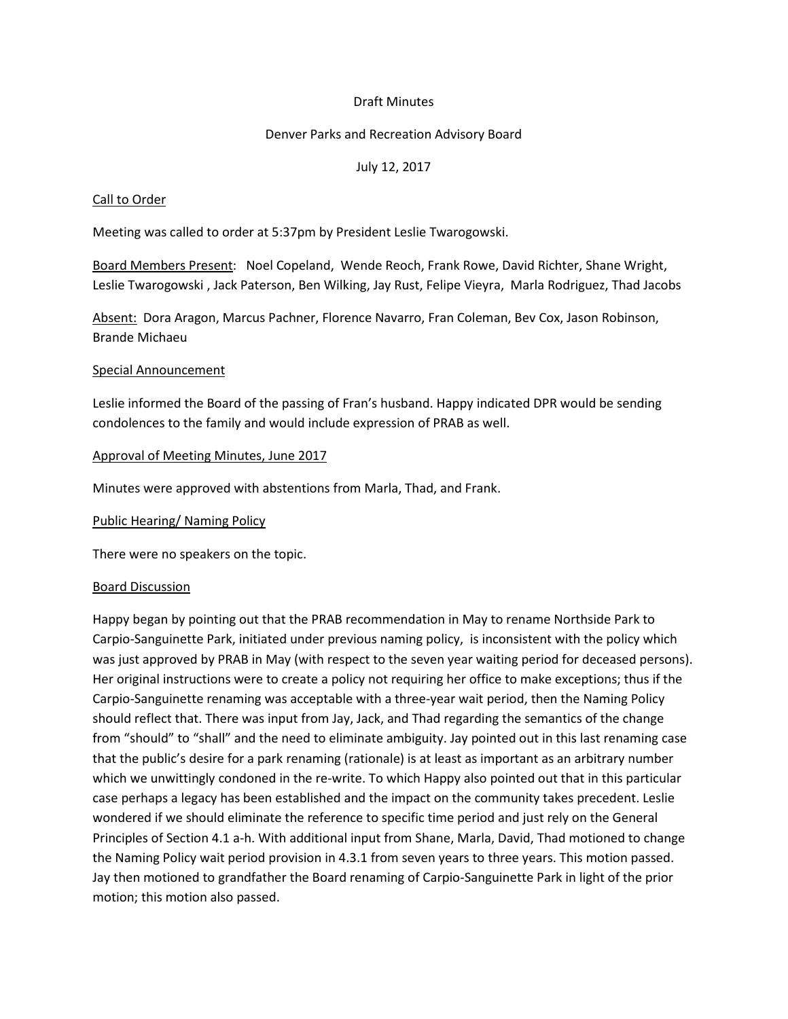## Draft Minutes

## Denver Parks and Recreation Advisory Board

## July 12, 2017

#### Call to Order

Meeting was called to order at 5:37pm by President Leslie Twarogowski.

Board Members Present: Noel Copeland, Wende Reoch, Frank Rowe, David Richter, Shane Wright, Leslie Twarogowski , Jack Paterson, Ben Wilking, Jay Rust, Felipe Vieyra, Marla Rodriguez, Thad Jacobs

Absent: Dora Aragon, Marcus Pachner, Florence Navarro, Fran Coleman, Bev Cox, Jason Robinson, Brande Michaeu

#### Special Announcement

Leslie informed the Board of the passing of Fran's husband. Happy indicated DPR would be sending condolences to the family and would include expression of PRAB as well.

## Approval of Meeting Minutes, June 2017

Minutes were approved with abstentions from Marla, Thad, and Frank.

Public Hearing/ Naming Policy

There were no speakers on the topic.

#### Board Discussion

Happy began by pointing out that the PRAB recommendation in May to rename Northside Park to Carpio-Sanguinette Park, initiated under previous naming policy, is inconsistent with the policy which was just approved by PRAB in May (with respect to the seven year waiting period for deceased persons). Her original instructions were to create a policy not requiring her office to make exceptions; thus if the Carpio-Sanguinette renaming was acceptable with a three-year wait period, then the Naming Policy should reflect that. There was input from Jay, Jack, and Thad regarding the semantics of the change from "should" to "shall" and the need to eliminate ambiguity. Jay pointed out in this last renaming case that the public's desire for a park renaming (rationale) is at least as important as an arbitrary number which we unwittingly condoned in the re-write. To which Happy also pointed out that in this particular case perhaps a legacy has been established and the impact on the community takes precedent. Leslie wondered if we should eliminate the reference to specific time period and just rely on the General Principles of Section 4.1 a-h. With additional input from Shane, Marla, David, Thad motioned to change the Naming Policy wait period provision in 4.3.1 from seven years to three years. This motion passed. Jay then motioned to grandfather the Board renaming of Carpio-Sanguinette Park in light of the prior motion; this motion also passed.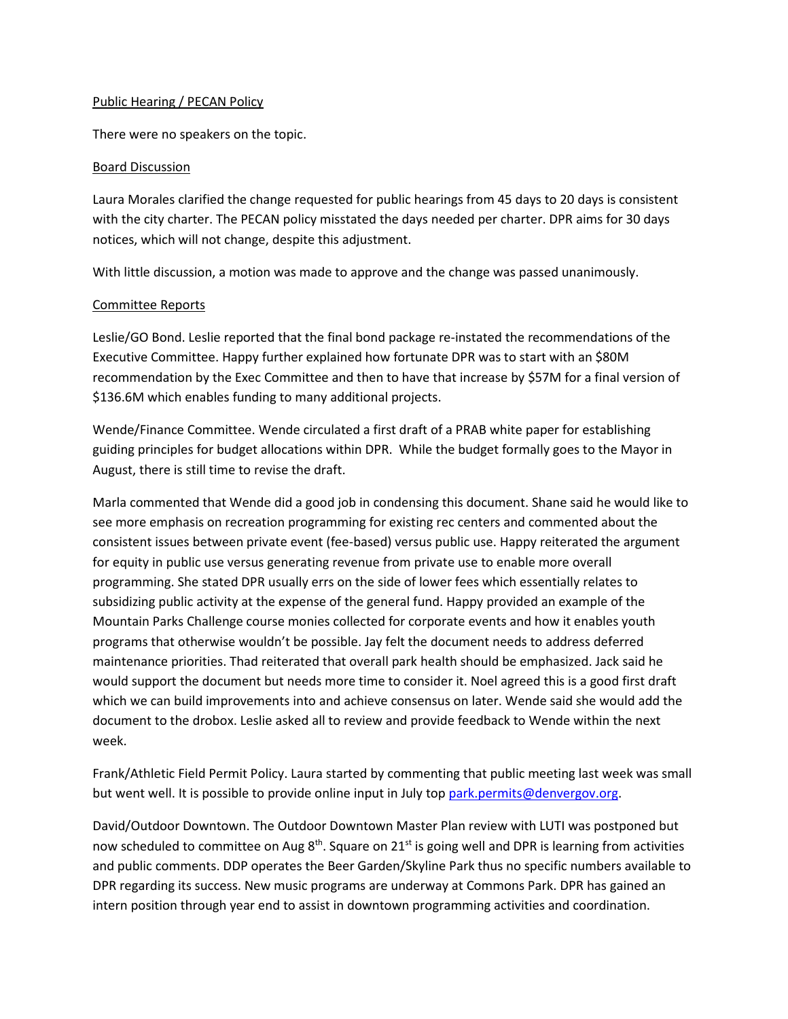## Public Hearing / PECAN Policy

There were no speakers on the topic.

#### Board Discussion

Laura Morales clarified the change requested for public hearings from 45 days to 20 days is consistent with the city charter. The PECAN policy misstated the days needed per charter. DPR aims for 30 days notices, which will not change, despite this adjustment.

With little discussion, a motion was made to approve and the change was passed unanimously.

## Committee Reports

Leslie/GO Bond. Leslie reported that the final bond package re-instated the recommendations of the Executive Committee. Happy further explained how fortunate DPR was to start with an \$80M recommendation by the Exec Committee and then to have that increase by \$57M for a final version of \$136.6M which enables funding to many additional projects.

Wende/Finance Committee. Wende circulated a first draft of a PRAB white paper for establishing guiding principles for budget allocations within DPR. While the budget formally goes to the Mayor in August, there is still time to revise the draft.

Marla commented that Wende did a good job in condensing this document. Shane said he would like to see more emphasis on recreation programming for existing rec centers and commented about the consistent issues between private event (fee-based) versus public use. Happy reiterated the argument for equity in public use versus generating revenue from private use to enable more overall programming. She stated DPR usually errs on the side of lower fees which essentially relates to subsidizing public activity at the expense of the general fund. Happy provided an example of the Mountain Parks Challenge course monies collected for corporate events and how it enables youth programs that otherwise wouldn't be possible. Jay felt the document needs to address deferred maintenance priorities. Thad reiterated that overall park health should be emphasized. Jack said he would support the document but needs more time to consider it. Noel agreed this is a good first draft which we can build improvements into and achieve consensus on later. Wende said she would add the document to the drobox. Leslie asked all to review and provide feedback to Wende within the next week.

Frank/Athletic Field Permit Policy. Laura started by commenting that public meeting last week was small but went well. It is possible to provide online input in July to[p park.permits@denvergov.org.](mailto:park.permits@denvergov.org)

David/Outdoor Downtown. The Outdoor Downtown Master Plan review with LUTI was postponed but now scheduled to committee on Aug  $8<sup>th</sup>$ . Square on 21<sup>st</sup> is going well and DPR is learning from activities and public comments. DDP operates the Beer Garden/Skyline Park thus no specific numbers available to DPR regarding its success. New music programs are underway at Commons Park. DPR has gained an intern position through year end to assist in downtown programming activities and coordination.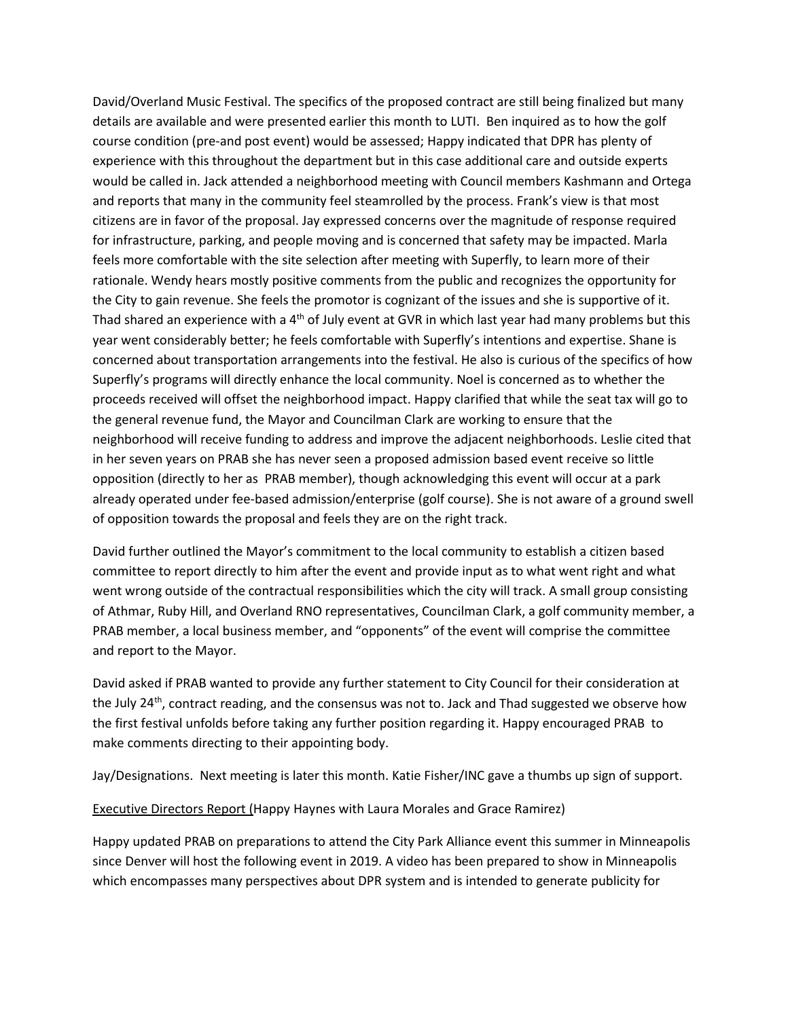David/Overland Music Festival. The specifics of the proposed contract are still being finalized but many details are available and were presented earlier this month to LUTI. Ben inquired as to how the golf course condition (pre-and post event) would be assessed; Happy indicated that DPR has plenty of experience with this throughout the department but in this case additional care and outside experts would be called in. Jack attended a neighborhood meeting with Council members Kashmann and Ortega and reports that many in the community feel steamrolled by the process. Frank's view is that most citizens are in favor of the proposal. Jay expressed concerns over the magnitude of response required for infrastructure, parking, and people moving and is concerned that safety may be impacted. Marla feels more comfortable with the site selection after meeting with Superfly, to learn more of their rationale. Wendy hears mostly positive comments from the public and recognizes the opportunity for the City to gain revenue. She feels the promotor is cognizant of the issues and she is supportive of it. Thad shared an experience with a  $4<sup>th</sup>$  of July event at GVR in which last year had many problems but this year went considerably better; he feels comfortable with Superfly's intentions and expertise. Shane is concerned about transportation arrangements into the festival. He also is curious of the specifics of how Superfly's programs will directly enhance the local community. Noel is concerned as to whether the proceeds received will offset the neighborhood impact. Happy clarified that while the seat tax will go to the general revenue fund, the Mayor and Councilman Clark are working to ensure that the neighborhood will receive funding to address and improve the adjacent neighborhoods. Leslie cited that in her seven years on PRAB she has never seen a proposed admission based event receive so little opposition (directly to her as PRAB member), though acknowledging this event will occur at a park already operated under fee-based admission/enterprise (golf course). She is not aware of a ground swell of opposition towards the proposal and feels they are on the right track.

David further outlined the Mayor's commitment to the local community to establish a citizen based committee to report directly to him after the event and provide input as to what went right and what went wrong outside of the contractual responsibilities which the city will track. A small group consisting of Athmar, Ruby Hill, and Overland RNO representatives, Councilman Clark, a golf community member, a PRAB member, a local business member, and "opponents" of the event will comprise the committee and report to the Mayor.

David asked if PRAB wanted to provide any further statement to City Council for their consideration at the July 24th, contract reading, and the consensus was not to. Jack and Thad suggested we observe how the first festival unfolds before taking any further position regarding it. Happy encouraged PRAB to make comments directing to their appointing body.

Jay/Designations. Next meeting is later this month. Katie Fisher/INC gave a thumbs up sign of support.

Executive Directors Report (Happy Haynes with Laura Morales and Grace Ramirez)

Happy updated PRAB on preparations to attend the City Park Alliance event this summer in Minneapolis since Denver will host the following event in 2019. A video has been prepared to show in Minneapolis which encompasses many perspectives about DPR system and is intended to generate publicity for